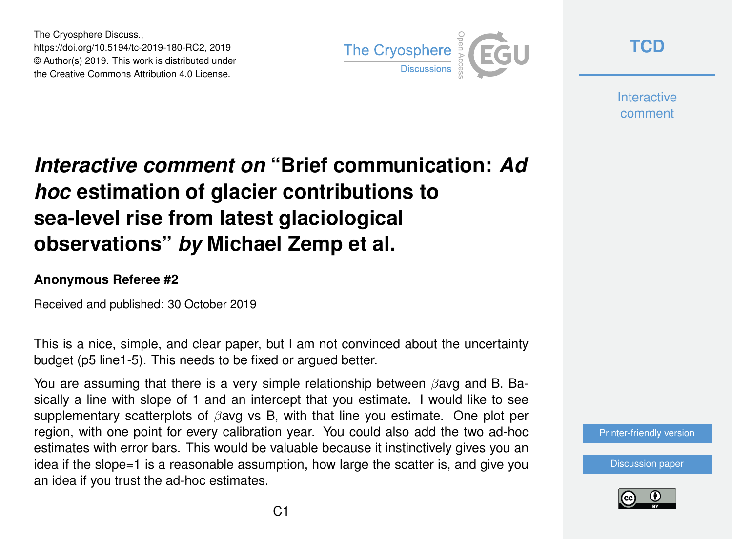The Cryosphere Discuss., https://doi.org/10.5194/tc-2019-180-RC2, 2019 © Author(s) 2019. This work is distributed under the Creative Commons Attribution 4.0 License.



**[TCD](https://www.the-cryosphere-discuss.net/)**

**Interactive** comment

## *Interactive comment on* **"Brief communication:** *Ad hoc* **estimation of glacier contributions to sea-level rise from latest glaciological observations"** *by* **Michael Zemp et al.**

## **Anonymous Referee #2**

Received and published: 30 October 2019

This is a nice, simple, and clear paper, but I am not convinced about the uncertainty budget (p5 line1-5). This needs to be fixed or argued better.

You are assuming that there is a very simple relationship between  $\beta$ avg and B. Basically a line with slope of 1 and an intercept that you estimate. I would like to see supplementary scatterplots of  $\beta$ avg vs B, with that line you estimate. One plot per region, with one point for every calibration year. You could also add the two ad-hoc estimates with error bars. This would be valuable because it instinctively gives you an idea if the slope=1 is a reasonable assumption, how large the scatter is, and give you an idea if you trust the ad-hoc estimates.

[Discussion paper](https://www.the-cryosphere-discuss.net/tc-2019-180)

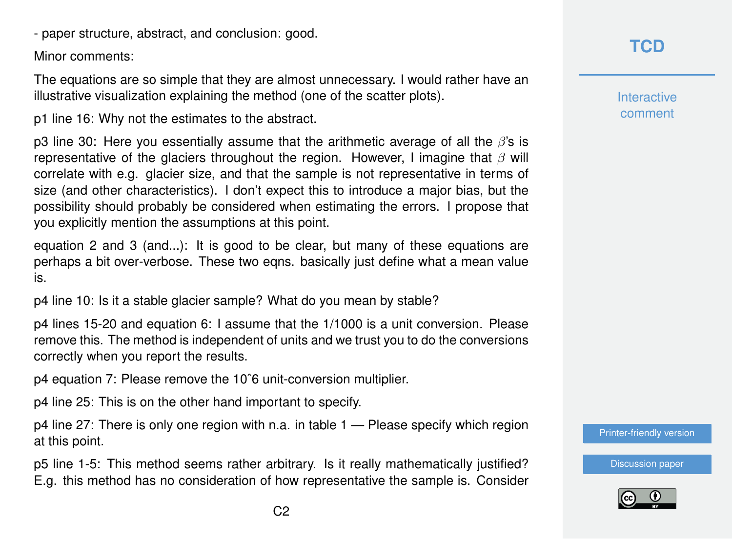- paper structure, abstract, and conclusion: good.

Minor comments:

The equations are so simple that they are almost unnecessary. I would rather have an illustrative visualization explaining the method (one of the scatter plots).

p1 line 16: Why not the estimates to the abstract.

p3 line 30: Here you essentially assume that the arithmetic average of all the  $\beta$ 's is representative of the glaciers throughout the region. However, I imagine that  $\beta$  will correlate with e.g. glacier size, and that the sample is not representative in terms of size (and other characteristics). I don't expect this to introduce a major bias, but the possibility should probably be considered when estimating the errors. I propose that you explicitly mention the assumptions at this point.

equation 2 and 3 (and...): It is good to be clear, but many of these equations are perhaps a bit over-verbose. These two eqns. basically just define what a mean value is.

p4 line 10: Is it a stable glacier sample? What do you mean by stable?

p4 lines 15-20 and equation 6: I assume that the 1/1000 is a unit conversion. Please remove this. The method is independent of units and we trust you to do the conversions correctly when you report the results.

p4 equation 7: Please remove the 10ˆ6 unit-conversion multiplier.

p4 line 25: This is on the other hand important to specify.

p4 line 27: There is only one region with n.a. in table 1 — Please specify which region at this point.

p5 line 1-5: This method seems rather arbitrary. Is it really mathematically justified? E.g. this method has no consideration of how representative the sample is. Consider **Interactive** comment

[Printer-friendly version](https://www.the-cryosphere-discuss.net/tc-2019-180/tc-2019-180-RC2-print.pdf)

[Discussion paper](https://www.the-cryosphere-discuss.net/tc-2019-180)